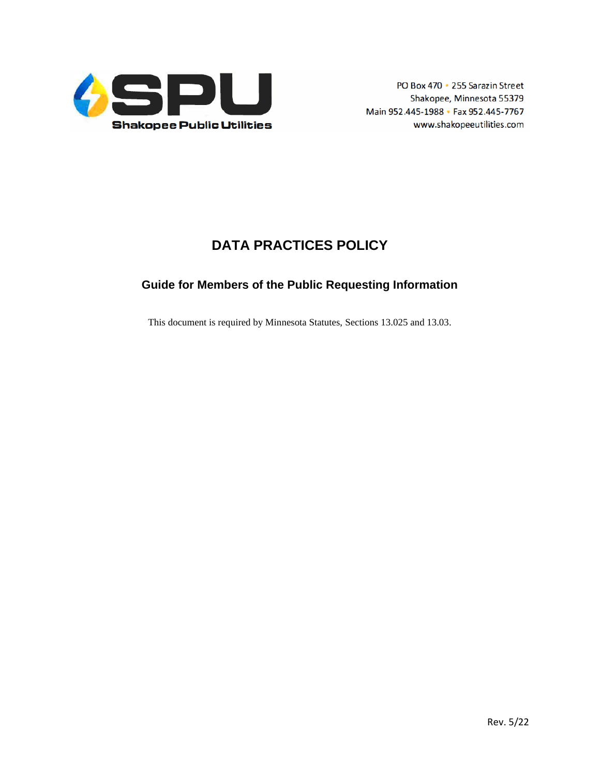

# **DATA PRACTICES POLICY**

# **Guide for Members of the Public Requesting Information**

This document is required by Minnesota Statutes, Sections 13.025 and 13.03.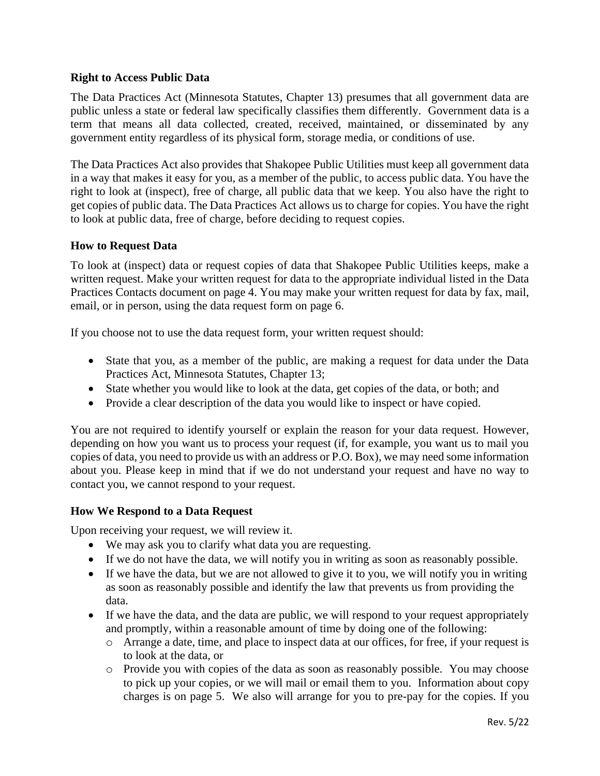## **Right to Access Public Data**

The Data Practices Act (Minnesota Statutes, Chapter 13) presumes that all government data are public unless a state or federal law specifically classifies them differently. Government data is a term that means all data collected, created, received, maintained, or disseminated by any government entity regardless of its physical form, storage media, or conditions of use.

The Data Practices Act also provides that Shakopee Public Utilities must keep all government data in a way that makes it easy for you, as a member of the public, to access public data. You have the right to look at (inspect), free of charge, all public data that we keep. You also have the right to get copies of public data. The Data Practices Act allows us to charge for copies. You have the right to look at public data, free of charge, before deciding to request copies.

### **How to Request Data**

To look at (inspect) data or request copies of data that Shakopee Public Utilities keeps, make a written request. Make your written request for data to the appropriate individual listed in the Data Practices Contacts document on page 4. You may make your written request for data by fax, mail, email, or in person, using the data request form on page 6.

If you choose not to use the data request form, your written request should:

- State that you, as a member of the public, are making a request for data under the Data Practices Act, Minnesota Statutes, Chapter 13;
- State whether you would like to look at the data, get copies of the data, or both; and
- Provide a clear description of the data you would like to inspect or have copied.

You are not required to identify yourself or explain the reason for your data request. However, depending on how you want us to process your request (if, for example, you want us to mail you copies of data, you need to provide us with an address or P.O. Box), we may need some information about you. Please keep in mind that if we do not understand your request and have no way to contact you, we cannot respond to your request.

### **How We Respond to a Data Request**

Upon receiving your request, we will review it.

- We may ask you to clarify what data you are requesting.
- If we do not have the data, we will notify you in writing as soon as reasonably possible.
- If we have the data, but we are not allowed to give it to you, we will notify you in writing as soon as reasonably possible and identify the law that prevents us from providing the data.
- If we have the data, and the data are public, we will respond to your request appropriately and promptly, within a reasonable amount of time by doing one of the following:
	- o Arrange a date, time, and place to inspect data at our offices, for free, if your request is to look at the data, or
	- o Provide you with copies of the data as soon as reasonably possible. You may choose to pick up your copies, or we will mail or email them to you. Information about copy charges is on page 5. We also will arrange for you to pre-pay for the copies. If you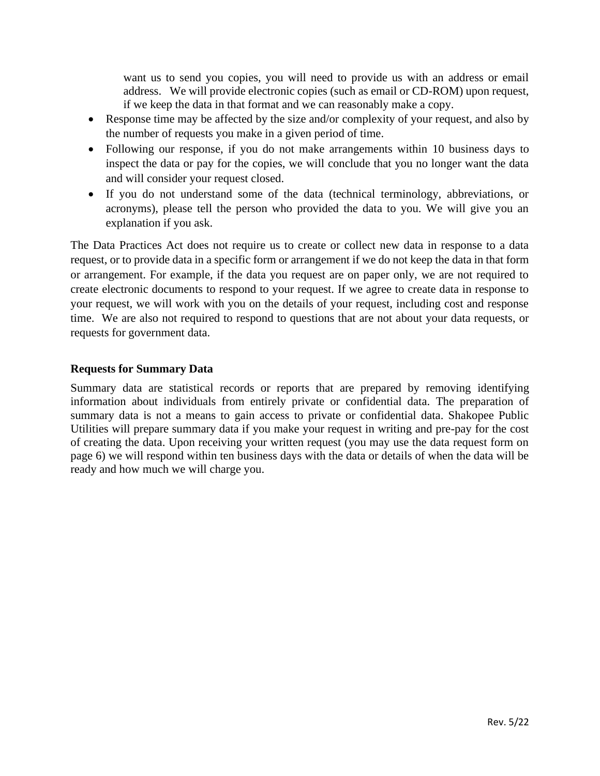want us to send you copies, you will need to provide us with an address or email address. We will provide electronic copies (such as email or CD-ROM) upon request, if we keep the data in that format and we can reasonably make a copy.

- Response time may be affected by the size and/or complexity of your request, and also by the number of requests you make in a given period of time.
- Following our response, if you do not make arrangements within 10 business days to inspect the data or pay for the copies, we will conclude that you no longer want the data and will consider your request closed.
- If you do not understand some of the data (technical terminology, abbreviations, or acronyms), please tell the person who provided the data to you. We will give you an explanation if you ask.

The Data Practices Act does not require us to create or collect new data in response to a data request, or to provide data in a specific form or arrangement if we do not keep the data in that form or arrangement. For example, if the data you request are on paper only, we are not required to create electronic documents to respond to your request. If we agree to create data in response to your request, we will work with you on the details of your request, including cost and response time. We are also not required to respond to questions that are not about your data requests, or requests for government data.

## **Requests for Summary Data**

Summary data are statistical records or reports that are prepared by removing identifying information about individuals from entirely private or confidential data. The preparation of summary data is not a means to gain access to private or confidential data. Shakopee Public Utilities will prepare summary data if you make your request in writing and pre-pay for the cost of creating the data. Upon receiving your written request (you may use the data request form on page 6) we will respond within ten business days with the data or details of when the data will be ready and how much we will charge you.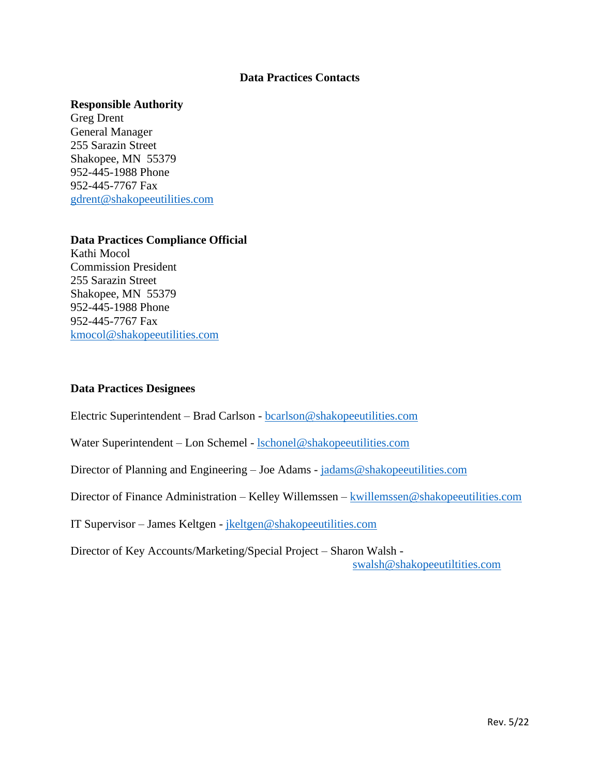#### **Data Practices Contacts**

#### **Responsible Authority**

Greg Drent General Manager 255 Sarazin Street Shakopee, MN 55379 952-445-1988 Phone 952-445-7767 Fax [gdrent@shakopeeutilities.com](mailto:gdrent@shakopeeutilities.com)

#### **Data Practices Compliance Official**

Kathi Mocol Commission President 255 Sarazin Street Shakopee, MN 55379 952-445-1988 Phone 952-445-7767 Fax [kmocol@shakopeeutilities.com](mailto:kmocol@shakopeeutilities.com)

#### **Data Practices Designees**

Electric Superintendent – Brad Carlson - [bcarlson@shakopeeutilities.com](mailto:bcarlson@shakopeeutilities.com)

Water Superintendent – Lon Schemel - [lschonel@shakopeeutilities.com](mailto:lschonel@shakopeeutilities.com)

Director of Planning and Engineering - Joe Adams - [jadams@shakopeeutilities.com](mailto:jadams@shakopeeutilities.com)

Director of Finance Administration – Kelley Willemssen – [kwillemssen@shakopeeutilities.com](mailto:kwillemssen@shakopeeutilities.com)

IT Supervisor – James Keltgen - [jkeltgen@shakopeeutilities.com](mailto:jkeltgen@shakopeeutilities.com)

Director of Key Accounts/Marketing/Special Project – Sharon Walsh [swalsh@shakopeeutiltities.com](mailto:swalsh@shakopeeutiltities.com)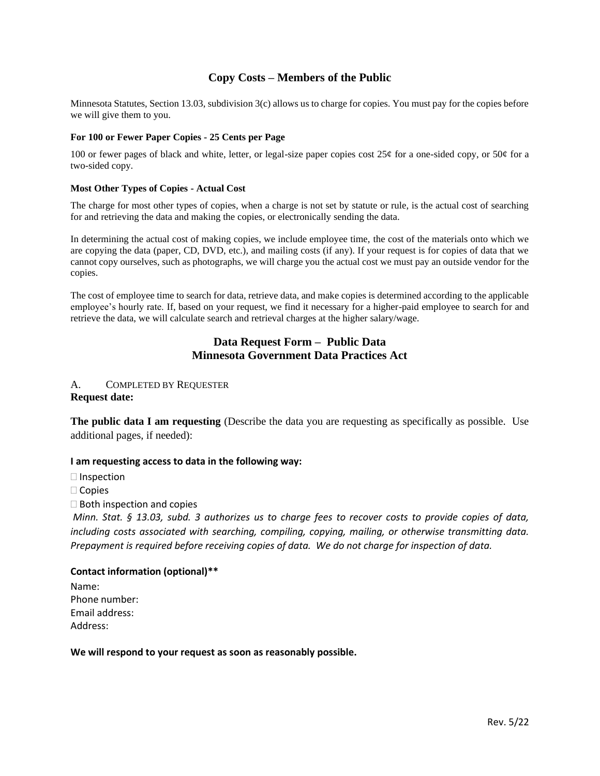### **Copy Costs – Members of the Public**

Minnesota Statutes, Section 13.03, subdivision 3(c) allows us to charge for copies. You must pay for the copies before we will give them to you.

#### **For 100 or Fewer Paper Copies - 25 Cents per Page**

100 or fewer pages of black and white, letter, or legal-size paper copies cost  $25¢$  for a one-sided copy, or  $50¢$  for a two-sided copy.

#### **Most Other Types of Copies - Actual Cost**

The charge for most other types of copies, when a charge is not set by statute or rule, is the actual cost of searching for and retrieving the data and making the copies, or electronically sending the data.

In determining the actual cost of making copies, we include employee time, the cost of the materials onto which we are copying the data (paper, CD, DVD, etc.), and mailing costs (if any). If your request is for copies of data that we cannot copy ourselves, such as photographs, we will charge you the actual cost we must pay an outside vendor for the copies.

The cost of employee time to search for data, retrieve data, and make copies is determined according to the applicable employee's hourly rate. If, based on your request, we find it necessary for a higher-paid employee to search for and retrieve the data, we will calculate search and retrieval charges at the higher salary/wage.

#### **Data Request Form – Public Data Minnesota Government Data Practices Act**

#### A. COMPLETED BY REQUESTER **Request date:**

**The public data I am requesting** (Describe the data you are requesting as specifically as possible. Use additional pages, if needed):

#### **I am requesting access to data in the following way:**

 $\Box$  Inspection

□ Copies

 $\Box$  Both inspection and copies

*Minn. Stat. § 13.03, subd. 3 authorizes us to charge fees to recover costs to provide copies of data, including costs associated with searching, compiling, copying, mailing, or otherwise transmitting data. Prepayment is required before receiving copies of data. We do not charge for inspection of data.*

#### **Contact information (optional)\*\***

Name: Phone number: Email address: Address:

#### **We will respond to your request as soon as reasonably possible.**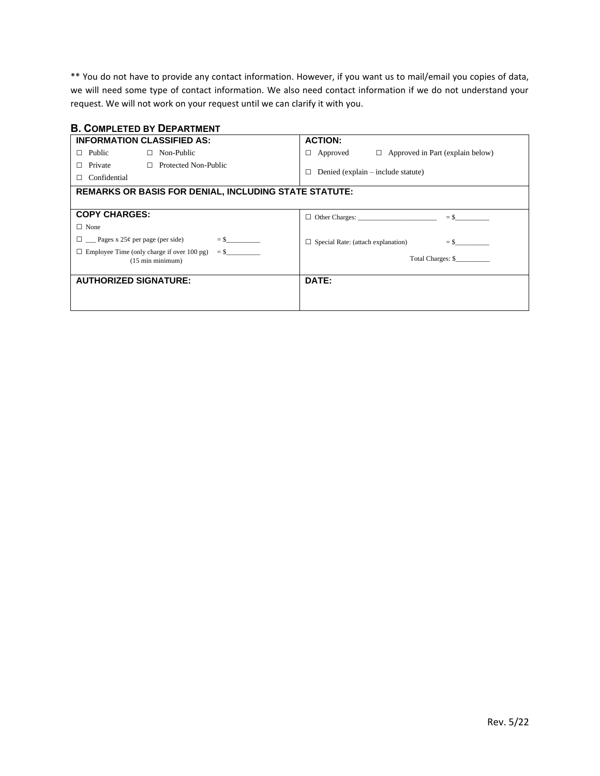\*\* You do not have to provide any contact information. However, if you want us to mail/email you copies of data, we will need some type of contact information. We also need contact information if we do not understand your request. We will not work on your request until we can clarify it with you.

#### **B. COMPLETED BY DEPARTMENT**

| <b>INFORMATION CLASSIFIED AS:</b>                                               | <b>ACTION:</b>                                           |
|---------------------------------------------------------------------------------|----------------------------------------------------------|
| $\Box$ Non-Public<br>Public<br>п                                                | $\Box$ Approved in Part (explain below)<br>Approved<br>⊔ |
| Private<br>$\Box$ Protected Non-Public                                          |                                                          |
| Confidential                                                                    | Denied (explain – include statute)<br>П                  |
| <b>REMARKS OR BASIS FOR DENIAL, INCLUDING STATE STATUTE:</b>                    |                                                          |
|                                                                                 |                                                          |
| <b>COPY CHARGES:</b>                                                            |                                                          |
| $\Box$ None                                                                     |                                                          |
| $=$ \$<br>$\Box$ Pages x 25¢ per page (per side)                                | $\Box$ Special Rate: (attach explanation)<br>$=$ \$      |
| $\Box$ Employee Time (only charge if over 100 pg)<br>$(15 \text{ min minimum})$ | Total Charges: \$                                        |
| <b>AUTHORIZED SIGNATURE:</b>                                                    | DATE:                                                    |
|                                                                                 |                                                          |
|                                                                                 |                                                          |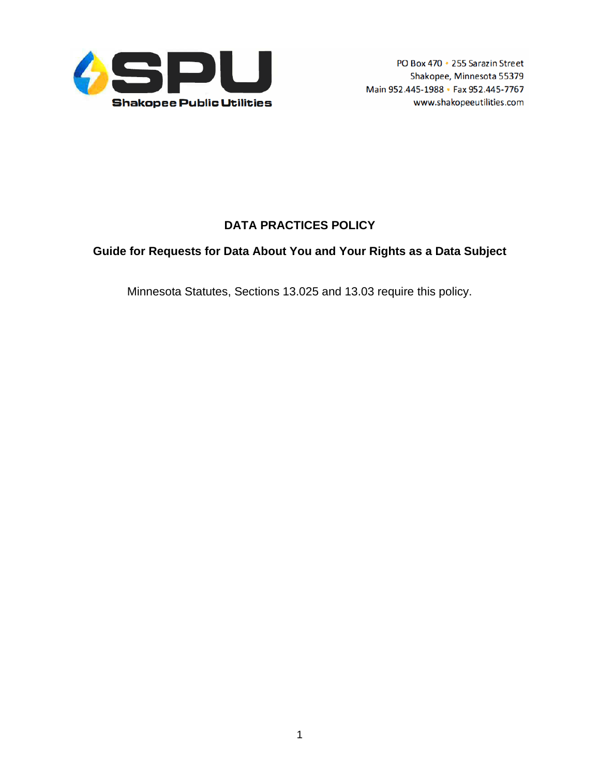

# **DATA PRACTICES POLICY**

## **Guide for Requests for Data About You and Your Rights as a Data Subject**

Minnesota Statutes, Sections 13.025 and 13.03 require this policy.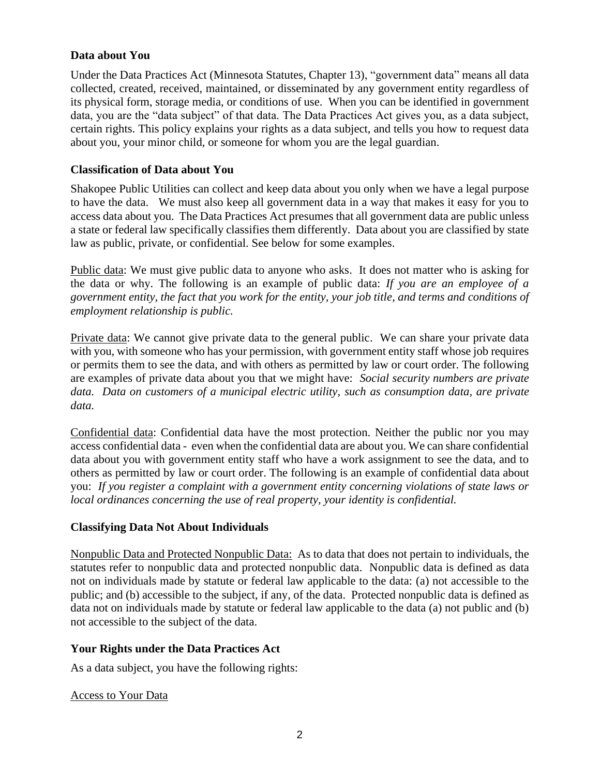## **Data about You**

Under the Data Practices Act (Minnesota Statutes, Chapter 13), "government data" means all data collected, created, received, maintained, or disseminated by any government entity regardless of its physical form, storage media, or conditions of use. When you can be identified in government data, you are the "data subject" of that data. The Data Practices Act gives you, as a data subject, certain rights. This policy explains your rights as a data subject, and tells you how to request data about you, your minor child, or someone for whom you are the legal guardian.

## **Classification of Data about You**

Shakopee Public Utilities can collect and keep data about you only when we have a legal purpose to have the data. We must also keep all government data in a way that makes it easy for you to access data about you. The Data Practices Act presumes that all government data are public unless a state or federal law specifically classifies them differently. Data about you are classified by state law as public, private, or confidential. See below for some examples.

Public data: We must give public data to anyone who asks. It does not matter who is asking for the data or why. The following is an example of public data: *If you are an employee of a government entity, the fact that you work for the entity, your job title, and terms and conditions of employment relationship is public.* 

Private data: We cannot give private data to the general public. We can share your private data with you, with someone who has your permission, with government entity staff whose job requires or permits them to see the data, and with others as permitted by law or court order. The following are examples of private data about you that we might have: *Social security numbers are private data. Data on customers of a municipal electric utility, such as consumption data, are private data.* 

Confidential data: Confidential data have the most protection. Neither the public nor you may access confidential data - even when the confidential data are about you. We can share confidential data about you with government entity staff who have a work assignment to see the data, and to others as permitted by law or court order. The following is an example of confidential data about you: *If you register a complaint with a government entity concerning violations of state laws or local ordinances concerning the use of real property, your identity is confidential.*

### **Classifying Data Not About Individuals**

Nonpublic Data and Protected Nonpublic Data: As to data that does not pertain to individuals, the statutes refer to nonpublic data and protected nonpublic data. Nonpublic data is defined as data not on individuals made by statute or federal law applicable to the data: (a) not accessible to the public; and (b) accessible to the subject, if any, of the data. Protected nonpublic data is defined as data not on individuals made by statute or federal law applicable to the data (a) not public and (b) not accessible to the subject of the data.

### **Your Rights under the Data Practices Act**

As a data subject, you have the following rights:

### Access to Your Data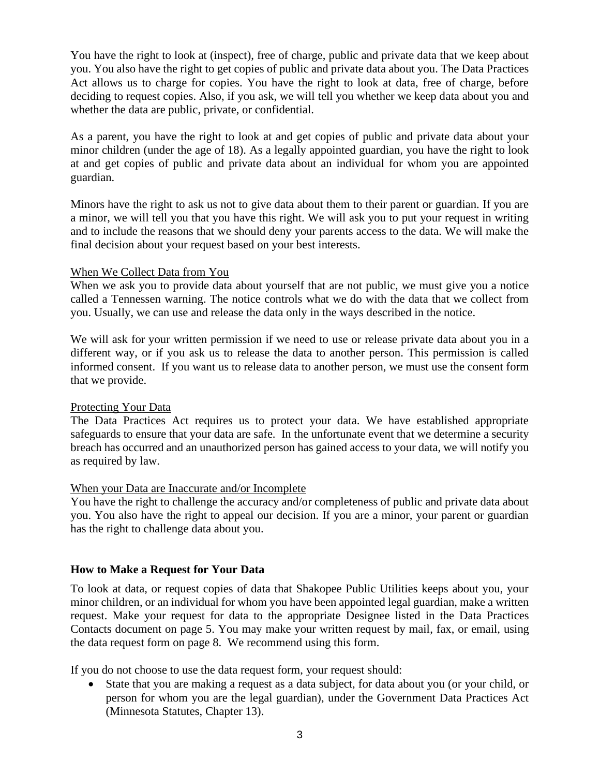You have the right to look at (inspect), free of charge, public and private data that we keep about you. You also have the right to get copies of public and private data about you. The Data Practices Act allows us to charge for copies. You have the right to look at data, free of charge, before deciding to request copies. Also, if you ask, we will tell you whether we keep data about you and whether the data are public, private, or confidential.

As a parent, you have the right to look at and get copies of public and private data about your minor children (under the age of 18). As a legally appointed guardian, you have the right to look at and get copies of public and private data about an individual for whom you are appointed guardian.

Minors have the right to ask us not to give data about them to their parent or guardian. If you are a minor, we will tell you that you have this right. We will ask you to put your request in writing and to include the reasons that we should deny your parents access to the data. We will make the final decision about your request based on your best interests.

## When We Collect Data from You

When we ask you to provide data about yourself that are not public, we must give you a notice called a Tennessen warning. The notice controls what we do with the data that we collect from you. Usually, we can use and release the data only in the ways described in the notice.

We will ask for your written permission if we need to use or release private data about you in a different way, or if you ask us to release the data to another person. This permission is called informed consent. If you want us to release data to another person, we must use the consent form that we provide.

### Protecting Your Data

The Data Practices Act requires us to protect your data. We have established appropriate safeguards to ensure that your data are safe. In the unfortunate event that we determine a security breach has occurred and an unauthorized person has gained access to your data, we will notify you as required by law.

### When your Data are Inaccurate and/or Incomplete

You have the right to challenge the accuracy and/or completeness of public and private data about you. You also have the right to appeal our decision. If you are a minor, your parent or guardian has the right to challenge data about you.

## **How to Make a Request for Your Data**

To look at data, or request copies of data that Shakopee Public Utilities keeps about you, your minor children, or an individual for whom you have been appointed legal guardian, make a written request. Make your request for data to the appropriate Designee listed in the Data Practices Contacts document on page 5. You may make your written request by mail, fax, or email, using the data request form on page 8. We recommend using this form.

If you do not choose to use the data request form, your request should:

• State that you are making a request as a data subject, for data about you (or your child, or person for whom you are the legal guardian), under the Government Data Practices Act (Minnesota Statutes, Chapter 13).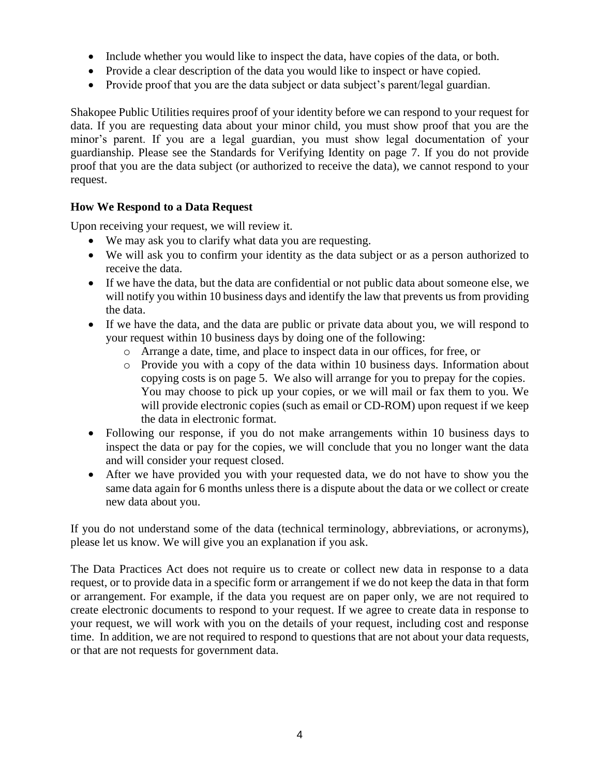- Include whether you would like to inspect the data, have copies of the data, or both.
- Provide a clear description of the data you would like to inspect or have copied.
- Provide proof that you are the data subject or data subject's parent/legal guardian.

Shakopee Public Utilities requires proof of your identity before we can respond to your request for data. If you are requesting data about your minor child, you must show proof that you are the minor's parent. If you are a legal guardian, you must show legal documentation of your guardianship. Please see the Standards for Verifying Identity on page 7. If you do not provide proof that you are the data subject (or authorized to receive the data), we cannot respond to your request.

## **How We Respond to a Data Request**

Upon receiving your request, we will review it.

- We may ask you to clarify what data you are requesting.
- We will ask you to confirm your identity as the data subject or as a person authorized to receive the data.
- If we have the data, but the data are confidential or not public data about someone else, we will notify you within 10 business days and identify the law that prevents us from providing the data.
- If we have the data, and the data are public or private data about you, we will respond to your request within 10 business days by doing one of the following:
	- o Arrange a date, time, and place to inspect data in our offices, for free, or
	- o Provide you with a copy of the data within 10 business days. Information about copying costs is on page 5. We also will arrange for you to prepay for the copies. You may choose to pick up your copies, or we will mail or fax them to you. We will provide electronic copies (such as email or CD-ROM) upon request if we keep the data in electronic format.
- Following our response, if you do not make arrangements within 10 business days to inspect the data or pay for the copies, we will conclude that you no longer want the data and will consider your request closed.
- After we have provided you with your requested data, we do not have to show you the same data again for 6 months unless there is a dispute about the data or we collect or create new data about you.

If you do not understand some of the data (technical terminology, abbreviations, or acronyms), please let us know. We will give you an explanation if you ask.

The Data Practices Act does not require us to create or collect new data in response to a data request, or to provide data in a specific form or arrangement if we do not keep the data in that form or arrangement. For example, if the data you request are on paper only, we are not required to create electronic documents to respond to your request. If we agree to create data in response to your request, we will work with you on the details of your request, including cost and response time. In addition, we are not required to respond to questions that are not about your data requests, or that are not requests for government data.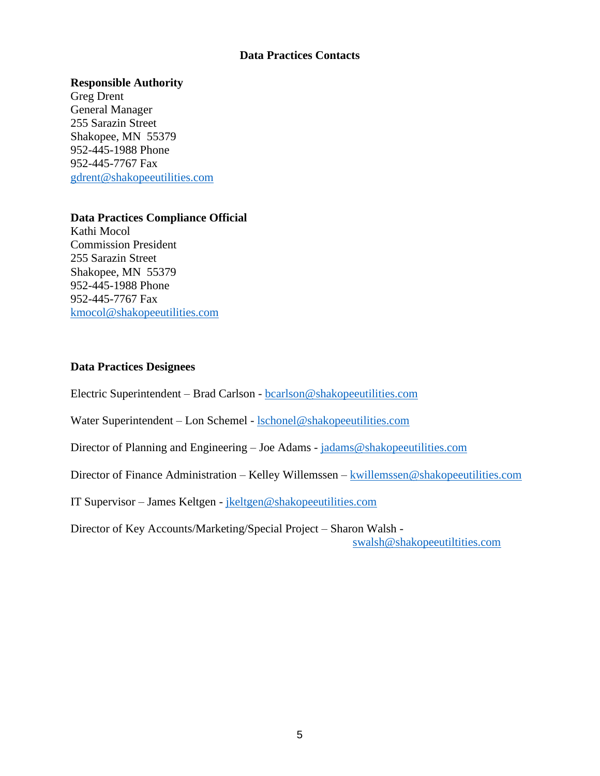#### **Data Practices Contacts**

#### **Responsible Authority**

Greg Drent General Manager 255 Sarazin Street Shakopee, MN 55379 952-445-1988 Phone 952-445-7767 Fax [gdrent@shakopeeutilities.com](mailto:gdrent@shakopeeutilities.com)

### **Data Practices Compliance Official**

Kathi Mocol Commission President 255 Sarazin Street Shakopee, MN 55379 952-445-1988 Phone 952-445-7767 Fax [kmocol@shakopeeutilities.com](mailto:kmocol@shakopeeutilities.com)

## **Data Practices Designees**

Electric Superintendent – Brad Carlson - [bcarlson@shakopeeutilities.com](mailto:bcarlson@shakopeeutilities.com)

Water Superintendent – Lon Schemel - [lschonel@shakopeeutilities.com](mailto:lschonel@shakopeeutilities.com)

Director of Planning and Engineering – Joe Adams - [jadams@shakopeeutilities.com](mailto:jadams@shakopeeutilities.com)

Director of Finance Administration – Kelley Willemssen – [kwillemssen@shakopeeutilities.com](mailto:kwillemssen@shakopeeutilities.com)

IT Supervisor – James Keltgen - [jkeltgen@shakopeeutilities.com](mailto:jkeltgen@shakopeeutilities.com)

Director of Key Accounts/Marketing/Special Project – Sharon Walsh -

[swalsh@shakopeeutiltities.com](mailto:swalsh@shakopeeutiltities.com)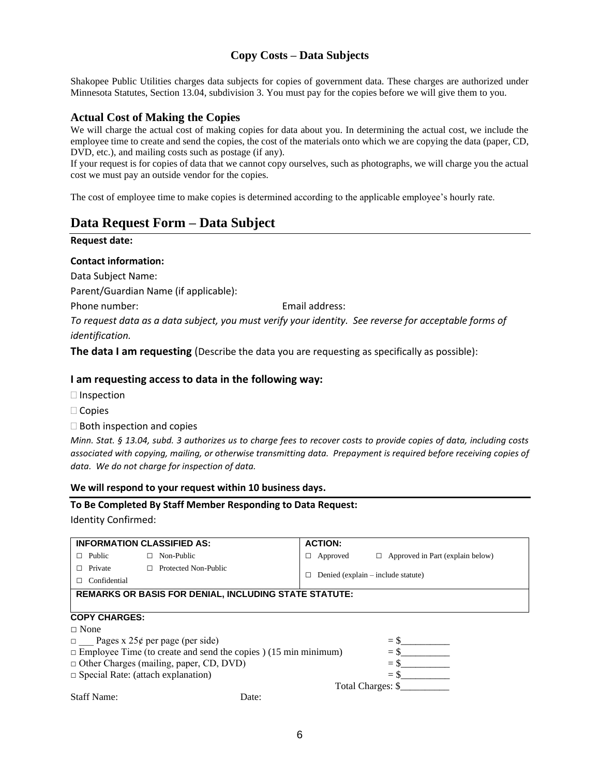## **Copy Costs – Data Subjects**

Shakopee Public Utilities charges data subjects for copies of government data. These charges are authorized under Minnesota Statutes, Section 13.04, subdivision 3. You must pay for the copies before we will give them to you.

#### **Actual Cost of Making the Copies**

We will charge the actual cost of making copies for data about you. In determining the actual cost, we include the employee time to create and send the copies, the cost of the materials onto which we are copying the data (paper, CD, DVD, etc.), and mailing costs such as postage (if any).

If your request is for copies of data that we cannot copy ourselves, such as photographs, we will charge you the actual cost we must pay an outside vendor for the copies.

The cost of employee time to make copies is determined according to the applicable employee's hourly rate.

## **Data Request Form – Data Subject**

#### **Request date:**

#### **Contact information:**

Data Subject Name:

Parent/Guardian Name (if applicable):

Phone number: The example of the email address:

*To request data as a data subject, you must verify your identity. See reverse for acceptable forms of identification.*

**The data I am requesting** (Describe the data you are requesting as specifically as possible):

#### **I am requesting access to data in the following way:**

- $\Box$  Inspection
- □ Copies
- $\square$  Both inspection and copies

*Minn. Stat. § 13.04, subd. 3 authorizes us to charge fees to recover costs to provide copies of data, including costs associated with copying, mailing, or otherwise transmitting data. Prepayment is required before receiving copies of data. We do not charge for inspection of data.*

#### **We will respond to your request within 10 business days.**

# **To Be Completed By Staff Member Responding to Data Request:**

Identity Confirmed:

| <b>INFORMATION CLASSIFIED AS:</b>                                               | <b>ACTION:</b>                                           |
|---------------------------------------------------------------------------------|----------------------------------------------------------|
| Non-Public<br>Public<br>П.<br>П.                                                | $\Box$ Approved in Part (explain below)<br>Approved<br>□ |
| Private<br>Protected Non-Public<br>П.                                           |                                                          |
| Confidential                                                                    | Denied (explain $-$ include statute)<br>П                |
| <b>REMARKS OR BASIS FOR DENIAL, INCLUDING STATE STATUTE:</b>                    |                                                          |
|                                                                                 |                                                          |
| <b>COPY CHARGES:</b>                                                            |                                                          |
| $\sqcap$ None                                                                   |                                                          |
| $\Box$ Pages x 25¢ per page (per side)                                          | $=$ \$                                                   |
| $\Box$ Employee Time (to create and send the copies) (15 min minimum)<br>$=$ \$ |                                                          |
| $\Box$ Other Charges (mailing, paper, CD, DVD)                                  | $=$ \$                                                   |
| $\Box$ Special Rate: (attach explanation)                                       | $=$ \$                                                   |
|                                                                                 | Total Charges: \$                                        |

Staff Name: Date: